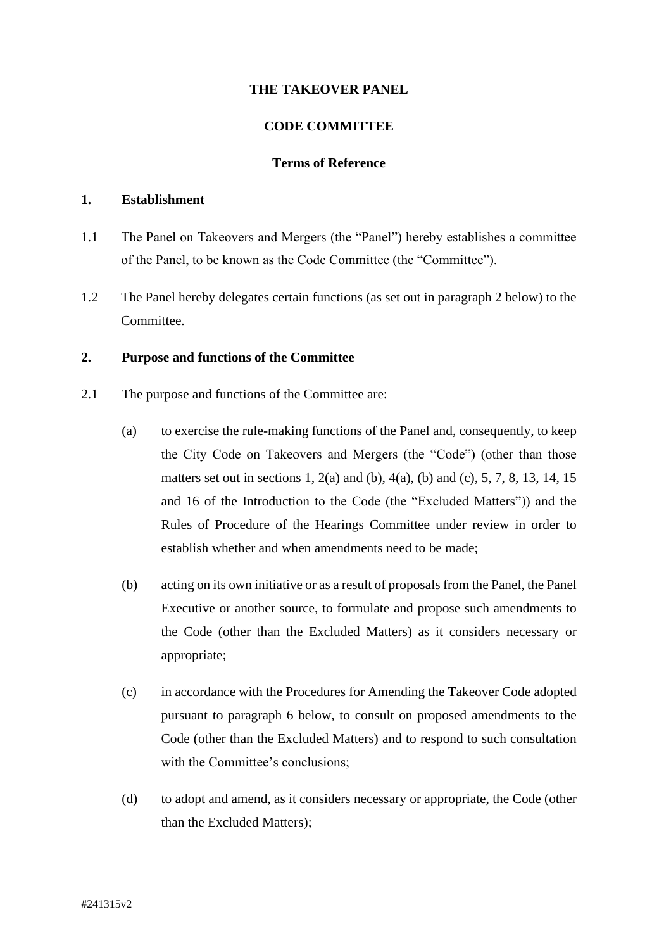## **THE TAKEOVER PANEL**

### **CODE COMMITTEE**

#### **Terms of Reference**

#### **1. Establishment**

- 1.1 The Panel on Takeovers and Mergers (the "Panel") hereby establishes a committee of the Panel, to be known as the Code Committee (the "Committee").
- 1.2 The Panel hereby delegates certain functions (as set out in paragraph 2 below) to the Committee.

#### **2. Purpose and functions of the Committee**

- 2.1 The purpose and functions of the Committee are:
	- (a) to exercise the rule-making functions of the Panel and, consequently, to keep the City Code on Takeovers and Mergers (the "Code") (other than those matters set out in sections 1, 2(a) and (b), 4(a), (b) and (c), 5, 7, 8, 13, 14, 15 and 16 of the Introduction to the Code (the "Excluded Matters")) and the Rules of Procedure of the Hearings Committee under review in order to establish whether and when amendments need to be made;
	- (b) acting on its own initiative or as a result of proposals from the Panel, the Panel Executive or another source, to formulate and propose such amendments to the Code (other than the Excluded Matters) as it considers necessary or appropriate;
	- (c) in accordance with the Procedures for Amending the Takeover Code adopted pursuant to paragraph 6 below, to consult on proposed amendments to the Code (other than the Excluded Matters) and to respond to such consultation with the Committee's conclusions;
	- (d) to adopt and amend, as it considers necessary or appropriate, the Code (other than the Excluded Matters);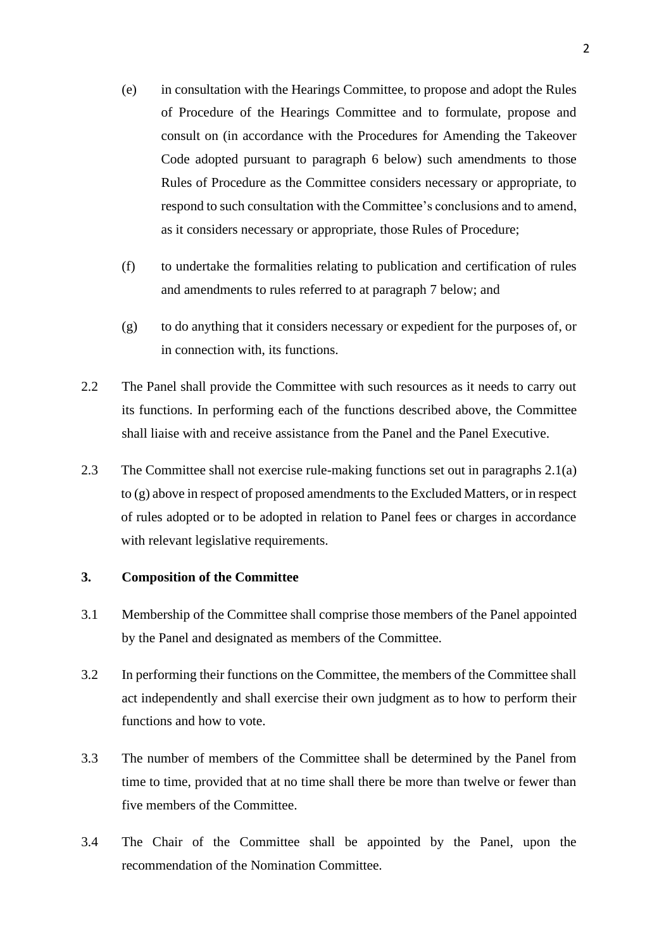- (e) in consultation with the Hearings Committee, to propose and adopt the Rules of Procedure of the Hearings Committee and to formulate, propose and consult on (in accordance with the Procedures for Amending the Takeover Code adopted pursuant to paragraph 6 below) such amendments to those Rules of Procedure as the Committee considers necessary or appropriate, to respond to such consultation with the Committee's conclusions and to amend, as it considers necessary or appropriate, those Rules of Procedure;
- (f) to undertake the formalities relating to publication and certification of rules and amendments to rules referred to at paragraph 7 below; and
- (g) to do anything that it considers necessary or expedient for the purposes of, or in connection with, its functions.
- 2.2 The Panel shall provide the Committee with such resources as it needs to carry out its functions. In performing each of the functions described above, the Committee shall liaise with and receive assistance from the Panel and the Panel Executive.
- 2.3 The Committee shall not exercise rule-making functions set out in paragraphs 2.1(a) to (g) above in respect of proposed amendments to the Excluded Matters, or in respect of rules adopted or to be adopted in relation to Panel fees or charges in accordance with relevant legislative requirements.

### **3. Composition of the Committee**

- 3.1 Membership of the Committee shall comprise those members of the Panel appointed by the Panel and designated as members of the Committee.
- 3.2 In performing their functions on the Committee, the members of the Committee shall act independently and shall exercise their own judgment as to how to perform their functions and how to vote.
- 3.3 The number of members of the Committee shall be determined by the Panel from time to time, provided that at no time shall there be more than twelve or fewer than five members of the Committee.
- 3.4 The Chair of the Committee shall be appointed by the Panel, upon the recommendation of the Nomination Committee.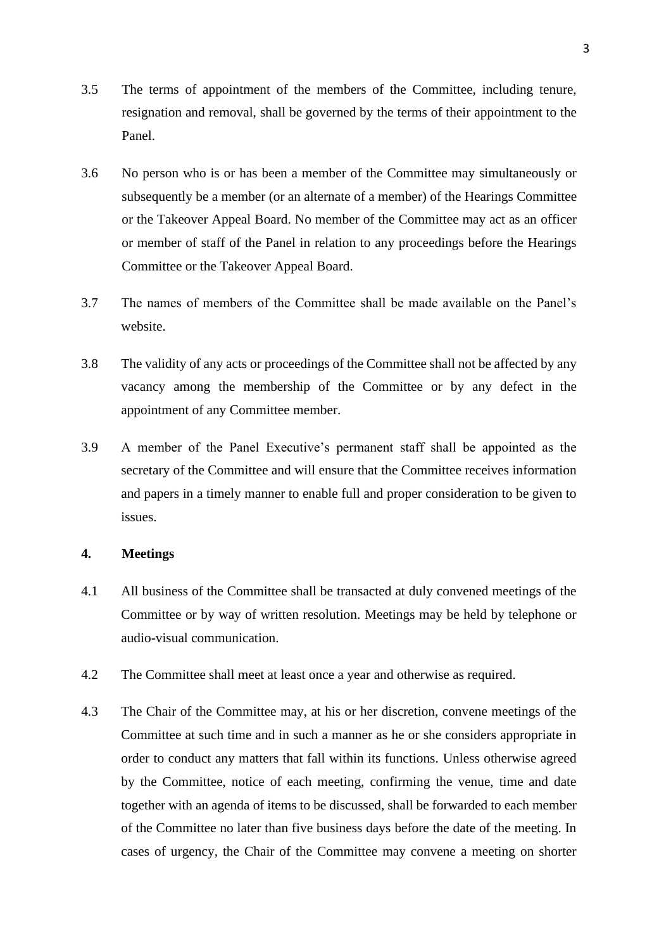- 3.5 The terms of appointment of the members of the Committee, including tenure, resignation and removal, shall be governed by the terms of their appointment to the Panel.
- 3.6 No person who is or has been a member of the Committee may simultaneously or subsequently be a member (or an alternate of a member) of the Hearings Committee or the Takeover Appeal Board. No member of the Committee may act as an officer or member of staff of the Panel in relation to any proceedings before the Hearings Committee or the Takeover Appeal Board.
- 3.7 The names of members of the Committee shall be made available on the Panel's website.
- 3.8 The validity of any acts or proceedings of the Committee shall not be affected by any vacancy among the membership of the Committee or by any defect in the appointment of any Committee member.
- 3.9 A member of the Panel Executive's permanent staff shall be appointed as the secretary of the Committee and will ensure that the Committee receives information and papers in a timely manner to enable full and proper consideration to be given to issues.

# **4. Meetings**

- 4.1 All business of the Committee shall be transacted at duly convened meetings of the Committee or by way of written resolution. Meetings may be held by telephone or audio-visual communication.
- 4.2 The Committee shall meet at least once a year and otherwise as required.
- 4.3 The Chair of the Committee may, at his or her discretion, convene meetings of the Committee at such time and in such a manner as he or she considers appropriate in order to conduct any matters that fall within its functions. Unless otherwise agreed by the Committee, notice of each meeting, confirming the venue, time and date together with an agenda of items to be discussed, shall be forwarded to each member of the Committee no later than five business days before the date of the meeting. In cases of urgency, the Chair of the Committee may convene a meeting on shorter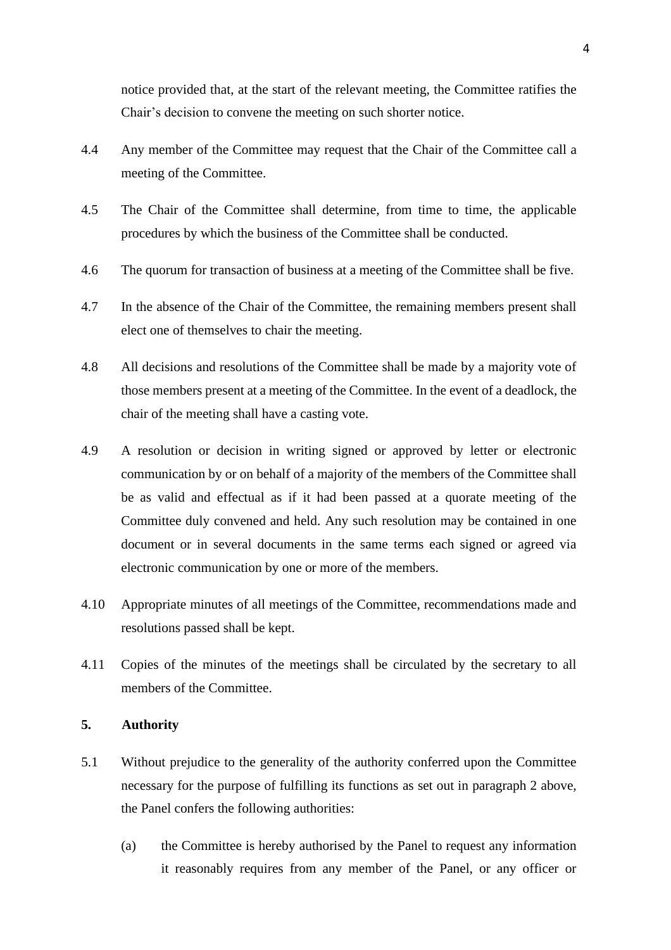notice provided that, at the start of the relevant meeting, the Committee ratifies the Chair's decision to convene the meeting on such shorter notice.

- 4.4 Any member of the Committee may request that the Chair of the Committee call a meeting of the Committee.
- 4.5 The Chair of the Committee shall determine, from time to time, the applicable procedures by which the business of the Committee shall be conducted.
- 4.6 The quorum for transaction of business at a meeting of the Committee shall be five.
- 4.7 In the absence of the Chair of the Committee, the remaining members present shall elect one of themselves to chair the meeting.
- 4.8 All decisions and resolutions of the Committee shall be made by a majority vote of those members present at a meeting of the Committee. In the event of a deadlock, the chair of the meeting shall have a casting vote.
- 4.9 A resolution or decision in writing signed or approved by letter or electronic communication by or on behalf of a majority of the members of the Committee shall be as valid and effectual as if it had been passed at a quorate meeting of the Committee duly convened and held. Any such resolution may be contained in one document or in several documents in the same terms each signed or agreed via electronic communication by one or more of the members.
- 4.10 Appropriate minutes of all meetings of the Committee, recommendations made and resolutions passed shall be kept.
- 4.11 Copies of the minutes of the meetings shall be circulated by the secretary to all members of the Committee.

## **5. Authority**

- 5.1 Without prejudice to the generality of the authority conferred upon the Committee necessary for the purpose of fulfilling its functions as set out in paragraph 2 above, the Panel confers the following authorities:
	- (a) the Committee is hereby authorised by the Panel to request any information it reasonably requires from any member of the Panel, or any officer or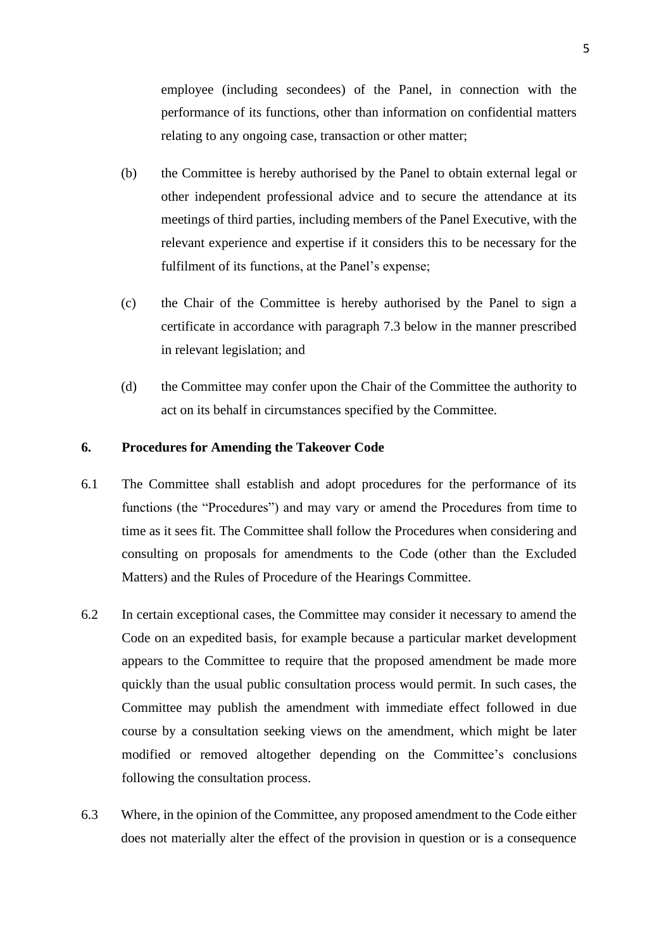employee (including secondees) of the Panel, in connection with the performance of its functions, other than information on confidential matters relating to any ongoing case, transaction or other matter;

- (b) the Committee is hereby authorised by the Panel to obtain external legal or other independent professional advice and to secure the attendance at its meetings of third parties, including members of the Panel Executive, with the relevant experience and expertise if it considers this to be necessary for the fulfilment of its functions, at the Panel's expense;
- (c) the Chair of the Committee is hereby authorised by the Panel to sign a certificate in accordance with paragraph 7.3 below in the manner prescribed in relevant legislation; and
- (d) the Committee may confer upon the Chair of the Committee the authority to act on its behalf in circumstances specified by the Committee.

#### **6. Procedures for Amending the Takeover Code**

- 6.1 The Committee shall establish and adopt procedures for the performance of its functions (the "Procedures") and may vary or amend the Procedures from time to time as it sees fit. The Committee shall follow the Procedures when considering and consulting on proposals for amendments to the Code (other than the Excluded Matters) and the Rules of Procedure of the Hearings Committee.
- 6.2 In certain exceptional cases, the Committee may consider it necessary to amend the Code on an expedited basis, for example because a particular market development appears to the Committee to require that the proposed amendment be made more quickly than the usual public consultation process would permit. In such cases, the Committee may publish the amendment with immediate effect followed in due course by a consultation seeking views on the amendment, which might be later modified or removed altogether depending on the Committee's conclusions following the consultation process.
- 6.3 Where, in the opinion of the Committee, any proposed amendment to the Code either does not materially alter the effect of the provision in question or is a consequence